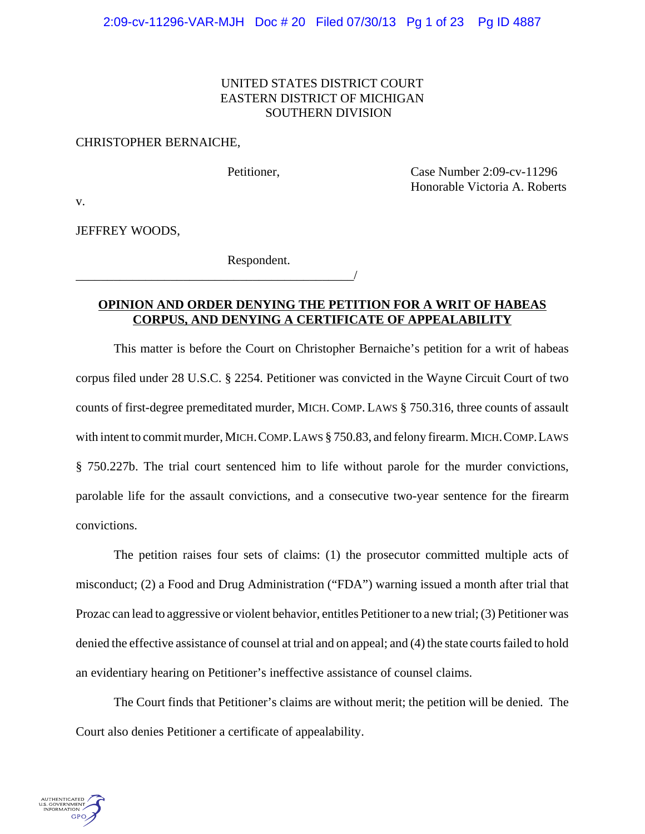## UNITED STATES DISTRICT COURT EASTERN DISTRICT OF MICHIGAN SOUTHERN DIVISION

#### CHRISTOPHER BERNAICHE,

Petitioner, Case Number 2:09-cv-11296 Honorable Victoria A. Roberts

v.

JEFFREY WOODS,

Respondent.

\_\_\_\_\_\_\_\_\_\_\_\_\_\_\_\_\_\_\_\_\_\_\_\_\_\_\_\_\_\_\_\_\_\_\_\_\_\_\_\_\_\_\_\_/

# **OPINION AND ORDER DENYING THE PETITION FOR A WRIT OF HABEAS CORPUS, AND DENYING A CERTIFICATE OF APPEALABILITY**

This matter is before the Court on Christopher Bernaiche's petition for a writ of habeas corpus filed under 28 U.S.C. § 2254. Petitioner was convicted in the Wayne Circuit Court of two counts of first-degree premeditated murder, MICH. COMP. LAWS § 750.316, three counts of assault with intent to commit murder, MICH.COMP.LAWS § 750.83, and felony firearm. MICH.COMP.LAWS § 750.227b. The trial court sentenced him to life without parole for the murder convictions, parolable life for the assault convictions, and a consecutive two-year sentence for the firearm convictions.

The petition raises four sets of claims: (1) the prosecutor committed multiple acts of misconduct; (2) a Food and Drug Administration ("FDA") warning issued a month after trial that Prozac can lead to aggressive or violent behavior, entitles Petitioner to a new trial; (3) Petitioner was denied the effective assistance of counsel at trial and on appeal; and (4) the state courts failed to hold an evidentiary hearing on Petitioner's ineffective assistance of counsel claims.

The Court finds that Petitioner's claims are without merit; the petition will be denied. The Court also denies Petitioner a certificate of appealability.

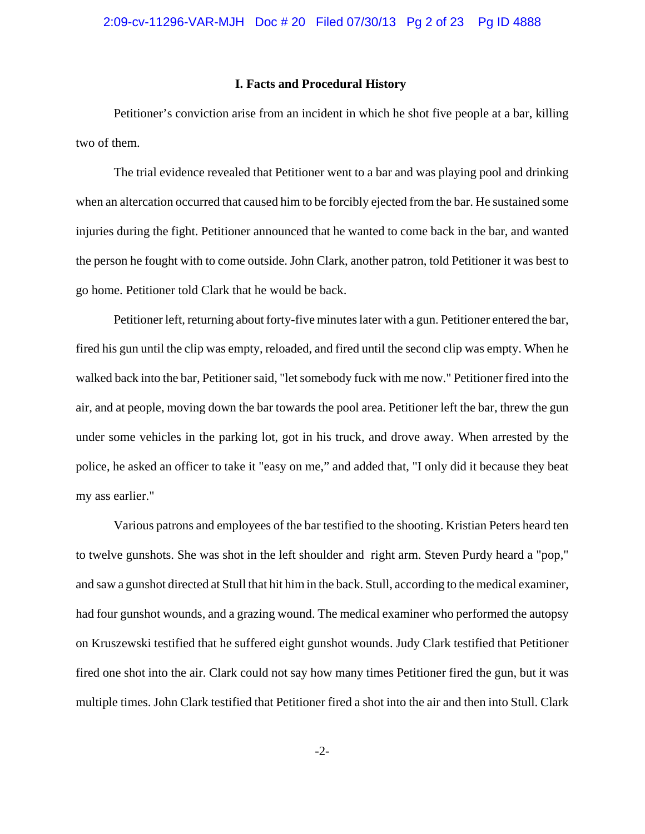#### **I. Facts and Procedural History**

Petitioner's conviction arise from an incident in which he shot five people at a bar, killing two of them.

The trial evidence revealed that Petitioner went to a bar and was playing pool and drinking when an altercation occurred that caused him to be forcibly ejected from the bar. He sustained some injuries during the fight. Petitioner announced that he wanted to come back in the bar, and wanted the person he fought with to come outside. John Clark, another patron, told Petitioner it was best to go home. Petitioner told Clark that he would be back.

Petitioner left, returning about forty-five minutes later with a gun. Petitioner entered the bar, fired his gun until the clip was empty, reloaded, and fired until the second clip was empty. When he walked back into the bar, Petitioner said, "let somebody fuck with me now." Petitioner fired into the air, and at people, moving down the bar towards the pool area. Petitioner left the bar, threw the gun under some vehicles in the parking lot, got in his truck, and drove away. When arrested by the police, he asked an officer to take it "easy on me," and added that, "I only did it because they beat my ass earlier."

Various patrons and employees of the bar testified to the shooting. Kristian Peters heard ten to twelve gunshots. She was shot in the left shoulder and right arm. Steven Purdy heard a "pop," and saw a gunshot directed at Stull that hit him in the back. Stull, according to the medical examiner, had four gunshot wounds, and a grazing wound. The medical examiner who performed the autopsy on Kruszewski testified that he suffered eight gunshot wounds. Judy Clark testified that Petitioner fired one shot into the air. Clark could not say how many times Petitioner fired the gun, but it was multiple times. John Clark testified that Petitioner fired a shot into the air and then into Stull. Clark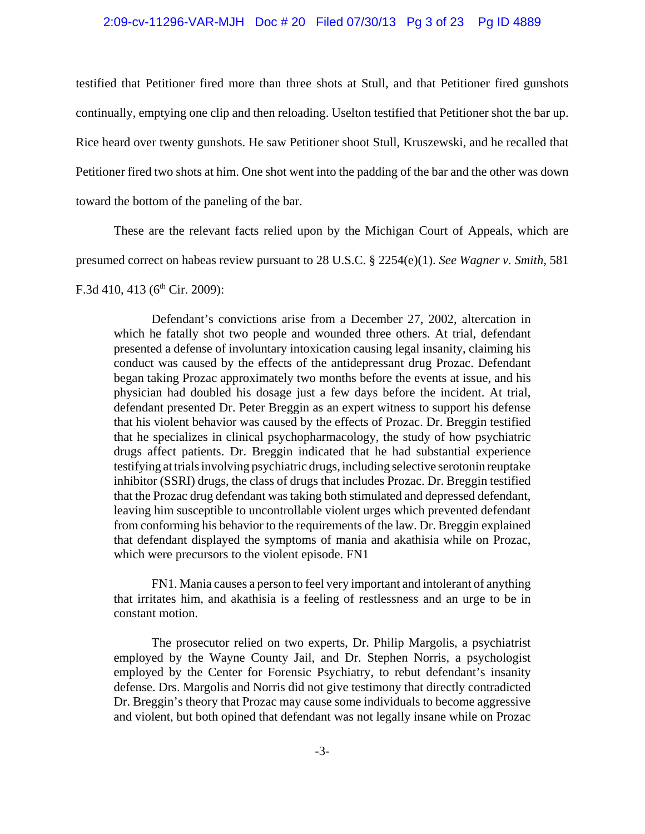#### 2:09-cv-11296-VAR-MJH Doc # 20 Filed 07/30/13 Pg 3 of 23 Pg ID 4889

testified that Petitioner fired more than three shots at Stull, and that Petitioner fired gunshots continually, emptying one clip and then reloading. Uselton testified that Petitioner shot the bar up. Rice heard over twenty gunshots. He saw Petitioner shoot Stull, Kruszewski, and he recalled that Petitioner fired two shots at him. One shot went into the padding of the bar and the other was down toward the bottom of the paneling of the bar.

These are the relevant facts relied upon by the Michigan Court of Appeals, which are presumed correct on habeas review pursuant to 28 U.S.C. § 2254(e)(1). *See Wagner v. Smith,* 581

F.3d 410, 413 ( $6<sup>th</sup>$  Cir. 2009):

Defendant's convictions arise from a December 27, 2002, altercation in which he fatally shot two people and wounded three others. At trial, defendant presented a defense of involuntary intoxication causing legal insanity, claiming his conduct was caused by the effects of the antidepressant drug Prozac. Defendant began taking Prozac approximately two months before the events at issue, and his physician had doubled his dosage just a few days before the incident. At trial, defendant presented Dr. Peter Breggin as an expert witness to support his defense that his violent behavior was caused by the effects of Prozac. Dr. Breggin testified that he specializes in clinical psychopharmacology, the study of how psychiatric drugs affect patients. Dr. Breggin indicated that he had substantial experience testifying at trials involving psychiatric drugs, including selective serotonin reuptake inhibitor (SSRI) drugs, the class of drugs that includes Prozac. Dr. Breggin testified that the Prozac drug defendant was taking both stimulated and depressed defendant, leaving him susceptible to uncontrollable violent urges which prevented defendant from conforming his behavior to the requirements of the law. Dr. Breggin explained that defendant displayed the symptoms of mania and akathisia while on Prozac, which were precursors to the violent episode. FN1

FN1. Mania causes a person to feel very important and intolerant of anything that irritates him, and akathisia is a feeling of restlessness and an urge to be in constant motion.

The prosecutor relied on two experts, Dr. Philip Margolis, a psychiatrist employed by the Wayne County Jail, and Dr. Stephen Norris, a psychologist employed by the Center for Forensic Psychiatry, to rebut defendant's insanity defense. Drs. Margolis and Norris did not give testimony that directly contradicted Dr. Breggin's theory that Prozac may cause some individuals to become aggressive and violent, but both opined that defendant was not legally insane while on Prozac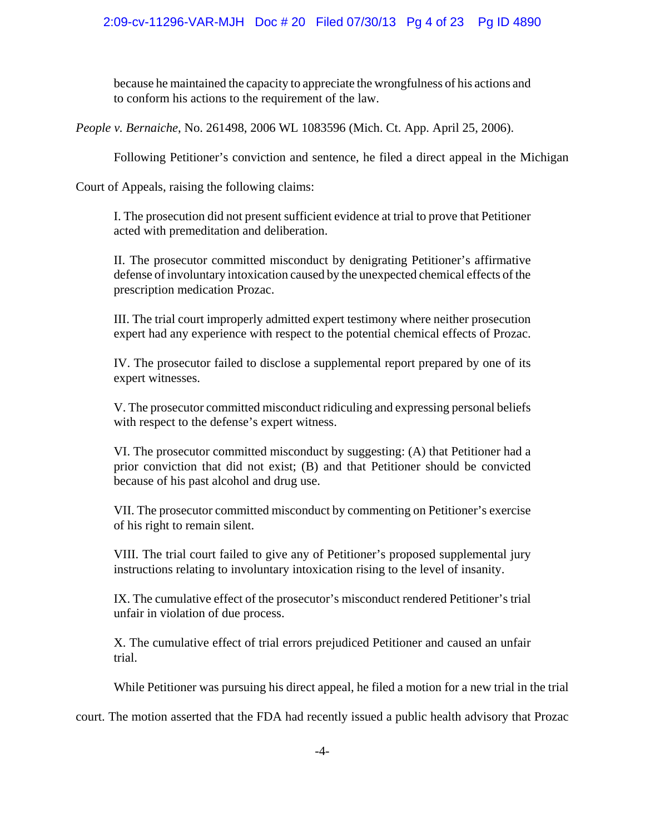because he maintained the capacity to appreciate the wrongfulness of his actions and to conform his actions to the requirement of the law.

*People v. Bernaiche*, No. 261498, 2006 WL 1083596 (Mich. Ct. App. April 25, 2006).

Following Petitioner's conviction and sentence, he filed a direct appeal in the Michigan

Court of Appeals, raising the following claims:

I. The prosecution did not present sufficient evidence at trial to prove that Petitioner acted with premeditation and deliberation.

II. The prosecutor committed misconduct by denigrating Petitioner's affirmative defense of involuntary intoxication caused by the unexpected chemical effects of the prescription medication Prozac.

III. The trial court improperly admitted expert testimony where neither prosecution expert had any experience with respect to the potential chemical effects of Prozac.

IV. The prosecutor failed to disclose a supplemental report prepared by one of its expert witnesses.

V. The prosecutor committed misconduct ridiculing and expressing personal beliefs with respect to the defense's expert witness.

VI. The prosecutor committed misconduct by suggesting: (A) that Petitioner had a prior conviction that did not exist; (B) and that Petitioner should be convicted because of his past alcohol and drug use.

VII. The prosecutor committed misconduct by commenting on Petitioner's exercise of his right to remain silent.

VIII. The trial court failed to give any of Petitioner's proposed supplemental jury instructions relating to involuntary intoxication rising to the level of insanity.

IX. The cumulative effect of the prosecutor's misconduct rendered Petitioner's trial unfair in violation of due process.

X. The cumulative effect of trial errors prejudiced Petitioner and caused an unfair trial.

While Petitioner was pursuing his direct appeal, he filed a motion for a new trial in the trial

court. The motion asserted that the FDA had recently issued a public health advisory that Prozac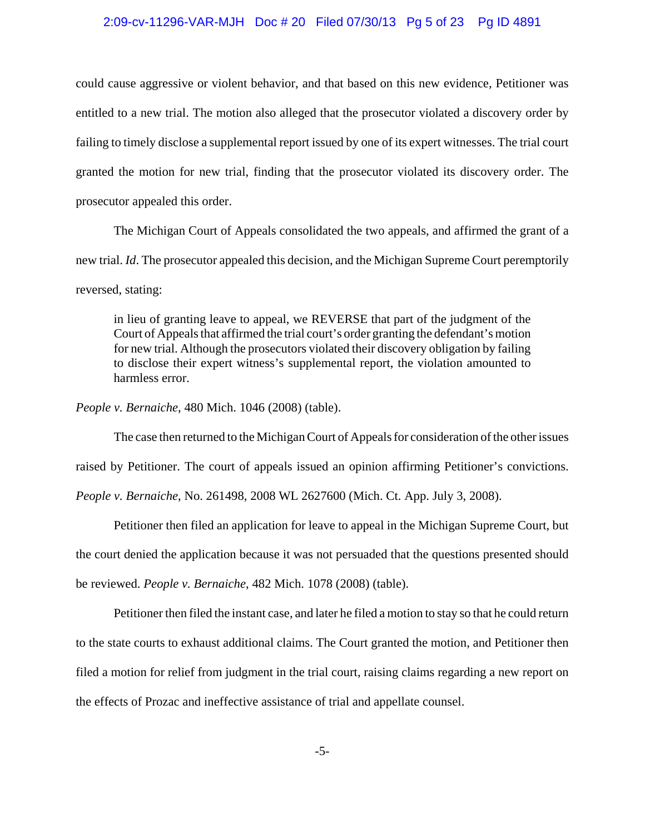#### 2:09-cv-11296-VAR-MJH Doc # 20 Filed 07/30/13 Pg 5 of 23 Pg ID 4891

could cause aggressive or violent behavior, and that based on this new evidence, Petitioner was entitled to a new trial. The motion also alleged that the prosecutor violated a discovery order by failing to timely disclose a supplemental report issued by one of its expert witnesses. The trial court granted the motion for new trial, finding that the prosecutor violated its discovery order. The prosecutor appealed this order.

The Michigan Court of Appeals consolidated the two appeals, and affirmed the grant of a new trial. *Id*. The prosecutor appealed this decision, and the Michigan Supreme Court peremptorily reversed, stating:

in lieu of granting leave to appeal, we REVERSE that part of the judgment of the Court of Appeals that affirmed the trial court's order granting the defendant's motion for new trial. Although the prosecutors violated their discovery obligation by failing to disclose their expert witness's supplemental report, the violation amounted to harmless error.

*People v. Bernaiche*, 480 Mich. 1046 (2008) (table).

The case then returned to the Michigan Court of Appeals for consideration of the other issues

raised by Petitioner. The court of appeals issued an opinion affirming Petitioner's convictions.

*People v. Bernaiche*, No. 261498, 2008 WL 2627600 (Mich. Ct. App. July 3, 2008).

Petitioner then filed an application for leave to appeal in the Michigan Supreme Court, but

the court denied the application because it was not persuaded that the questions presented should

be reviewed. *People v. Bernaiche*, 482 Mich. 1078 (2008) (table).

Petitioner then filed the instant case, and later he filed a motion to stay so that he could return to the state courts to exhaust additional claims. The Court granted the motion, and Petitioner then filed a motion for relief from judgment in the trial court, raising claims regarding a new report on the effects of Prozac and ineffective assistance of trial and appellate counsel.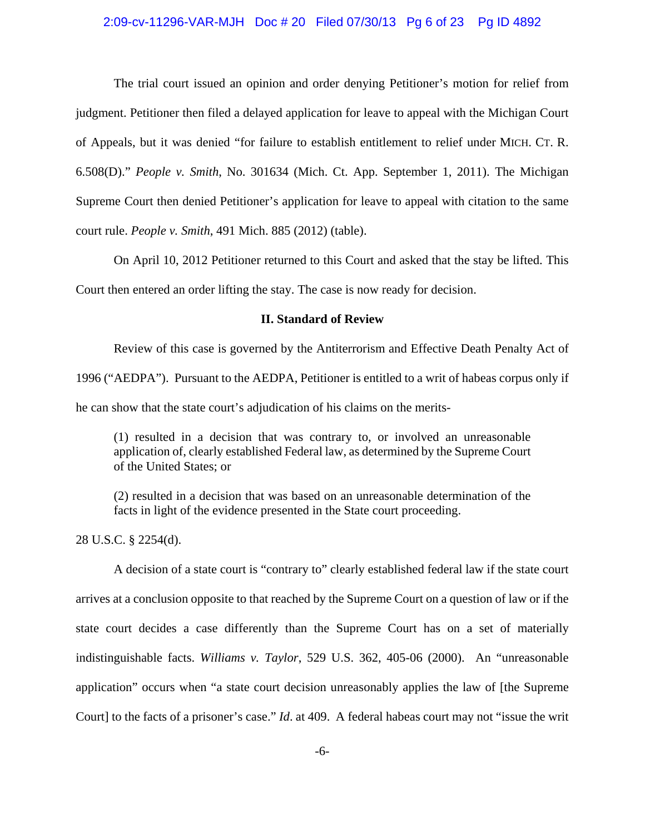#### 2:09-cv-11296-VAR-MJH Doc # 20 Filed 07/30/13 Pg 6 of 23 Pg ID 4892

The trial court issued an opinion and order denying Petitioner's motion for relief from judgment. Petitioner then filed a delayed application for leave to appeal with the Michigan Court of Appeals, but it was denied "for failure to establish entitlement to relief under MICH. CT. R. 6.508(D)." *People v. Smith*, No. 301634 (Mich. Ct. App. September 1, 2011). The Michigan Supreme Court then denied Petitioner's application for leave to appeal with citation to the same court rule. *People v. Smith*, 491 Mich. 885 (2012) (table).

On April 10, 2012 Petitioner returned to this Court and asked that the stay be lifted. This

Court then entered an order lifting the stay. The case is now ready for decision.

## **II. Standard of Review**

Review of this case is governed by the Antiterrorism and Effective Death Penalty Act of 1996 ("AEDPA"). Pursuant to the AEDPA, Petitioner is entitled to a writ of habeas corpus only if he can show that the state court's adjudication of his claims on the merits-

(1) resulted in a decision that was contrary to, or involved an unreasonable application of, clearly established Federal law, as determined by the Supreme Court of the United States; or

(2) resulted in a decision that was based on an unreasonable determination of the facts in light of the evidence presented in the State court proceeding.

28 U.S.C. § 2254(d).

A decision of a state court is "contrary to" clearly established federal law if the state court arrives at a conclusion opposite to that reached by the Supreme Court on a question of law or if the state court decides a case differently than the Supreme Court has on a set of materially indistinguishable facts. *Williams v. Taylor*, 529 U.S. 362, 405-06 (2000). An "unreasonable application" occurs when "a state court decision unreasonably applies the law of [the Supreme Court] to the facts of a prisoner's case." *Id*. at 409. A federal habeas court may not "issue the writ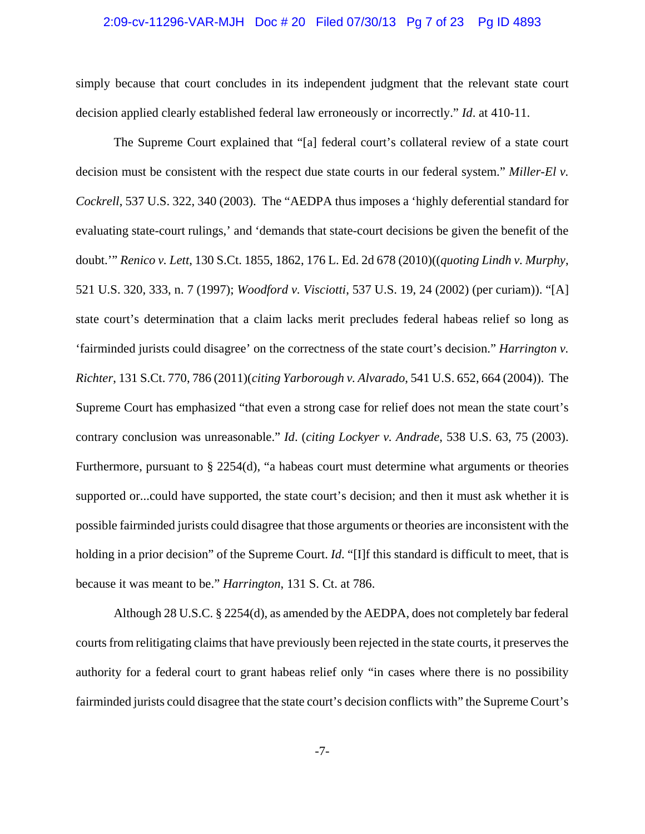#### 2:09-cv-11296-VAR-MJH Doc # 20 Filed 07/30/13 Pg 7 of 23 Pg ID 4893

simply because that court concludes in its independent judgment that the relevant state court decision applied clearly established federal law erroneously or incorrectly." *Id*. at 410-11.

The Supreme Court explained that "[a] federal court's collateral review of a state court decision must be consistent with the respect due state courts in our federal system." *Miller-El v. Cockrell*, 537 U.S. 322, 340 (2003). The "AEDPA thus imposes a 'highly deferential standard for evaluating state-court rulings,' and 'demands that state-court decisions be given the benefit of the doubt.'" *Renico v. Lett*, 130 S.Ct. 1855, 1862, 176 L. Ed. 2d 678 (2010)((*quoting Lindh v. Murphy*, 521 U.S. 320, 333, n. 7 (1997); *Woodford v. Visciotti*, 537 U.S. 19, 24 (2002) (per curiam)). "[A] state court's determination that a claim lacks merit precludes federal habeas relief so long as 'fairminded jurists could disagree' on the correctness of the state court's decision." *Harrington v. Richter*, 131 S.Ct. 770, 786 (2011)(*citing Yarborough v. Alvarado*, 541 U.S. 652, 664 (2004)). The Supreme Court has emphasized "that even a strong case for relief does not mean the state court's contrary conclusion was unreasonable." *Id*. (*citing Lockyer v. Andrade*, 538 U.S. 63, 75 (2003). Furthermore, pursuant to  $\S 2254(d)$ , "a habeas court must determine what arguments or theories supported or...could have supported, the state court's decision; and then it must ask whether it is possible fairminded jurists could disagree that those arguments or theories are inconsistent with the holding in a prior decision" of the Supreme Court. *Id.* "[I]f this standard is difficult to meet, that is because it was meant to be." *Harrington*, 131 S. Ct. at 786.

Although 28 U.S.C. § 2254(d), as amended by the AEDPA, does not completely bar federal courts from relitigating claims that have previously been rejected in the state courts, it preserves the authority for a federal court to grant habeas relief only "in cases where there is no possibility fairminded jurists could disagree that the state court's decision conflicts with" the Supreme Court's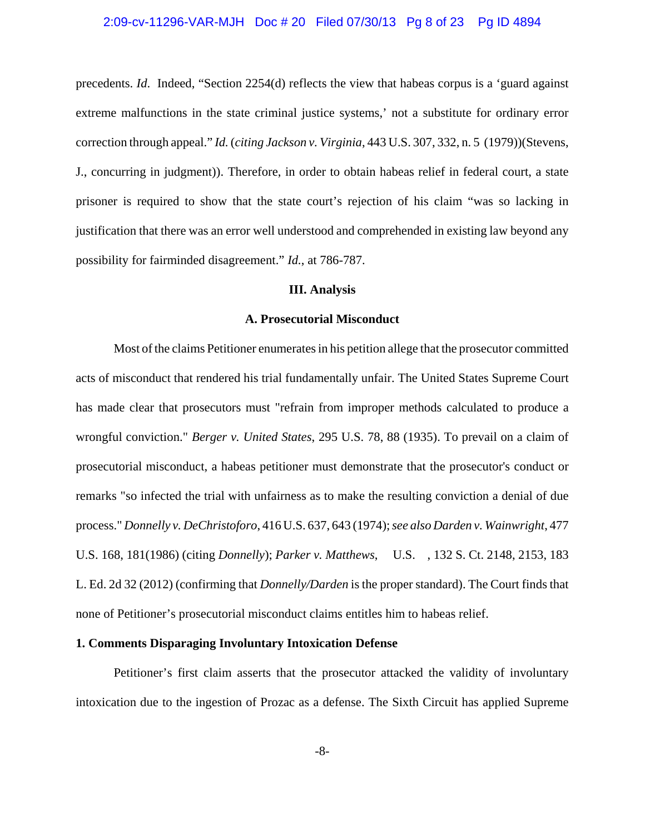#### 2:09-cv-11296-VAR-MJH Doc # 20 Filed 07/30/13 Pg 8 of 23 Pg ID 4894

precedents. *Id*. Indeed, "Section 2254(d) reflects the view that habeas corpus is a 'guard against extreme malfunctions in the state criminal justice systems,' not a substitute for ordinary error correction through appeal." *Id.* (*citing Jackson v. Virginia*, 443 U.S. 307, 332, n. 5 (1979))(Stevens, J., concurring in judgment)). Therefore, in order to obtain habeas relief in federal court, a state prisoner is required to show that the state court's rejection of his claim "was so lacking in justification that there was an error well understood and comprehended in existing law beyond any possibility for fairminded disagreement." *Id.*, at 786-787.

#### **III. Analysis**

#### **A. Prosecutorial Misconduct**

Most of the claims Petitioner enumerates in his petition allege that the prosecutor committed acts of misconduct that rendered his trial fundamentally unfair. The United States Supreme Court has made clear that prosecutors must "refrain from improper methods calculated to produce a wrongful conviction." *Berger v. United States*, 295 U.S. 78, 88 (1935). To prevail on a claim of prosecutorial misconduct, a habeas petitioner must demonstrate that the prosecutor's conduct or remarks "so infected the trial with unfairness as to make the resulting conviction a denial of due process." *Donnelly v. DeChristoforo*, 416 U.S. 637, 643 (1974); *see also Darden v. Wainwright*, 477 U.S. 168, 181(1986) (citing *Donnelly*); *Parker v. Matthews*, U.S. , 132 S. Ct. 2148, 2153, 183 L. Ed. 2d 32 (2012) (confirming that *Donnelly/Darden* is the proper standard). The Court finds that none of Petitioner's prosecutorial misconduct claims entitles him to habeas relief.

## **1. Comments Disparaging Involuntary Intoxication Defense**

Petitioner's first claim asserts that the prosecutor attacked the validity of involuntary intoxication due to the ingestion of Prozac as a defense. The Sixth Circuit has applied Supreme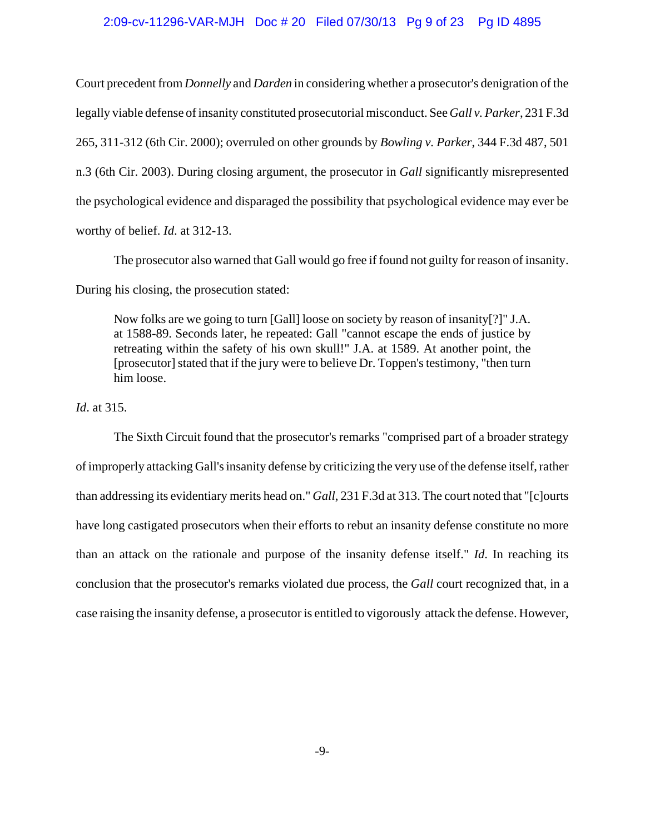#### 2:09-cv-11296-VAR-MJH Doc # 20 Filed 07/30/13 Pg 9 of 23 Pg ID 4895

Court precedent from *Donnelly* and *Darden* in considering whether a prosecutor's denigration of the legally viable defense of insanity constituted prosecutorial misconduct. See *Gall v. Parker*, 231 F.3d 265, 311-312 (6th Cir. 2000); overruled on other grounds by *Bowling v. Parker*, 344 F.3d 487, 501 n.3 (6th Cir. 2003). During closing argument, the prosecutor in *Gall* significantly misrepresented the psychological evidence and disparaged the possibility that psychological evidence may ever be worthy of belief. *Id*. at 312-13.

The prosecutor also warned that Gall would go free if found not guilty for reason of insanity.

During his closing, the prosecution stated:

Now folks are we going to turn [Gall] loose on society by reason of insanity[?]" J.A. at 1588-89. Seconds later, he repeated: Gall "cannot escape the ends of justice by retreating within the safety of his own skull!" J.A. at 1589. At another point, the [prosecutor] stated that if the jury were to believe Dr. Toppen's testimony, "then turn him loose.

*Id*. at 315.

The Sixth Circuit found that the prosecutor's remarks "comprised part of a broader strategy of improperly attacking Gall's insanity defense by criticizing the very use of the defense itself, rather than addressing its evidentiary merits head on." *Gall*, 231 F.3d at 313. The court noted that "[c]ourts have long castigated prosecutors when their efforts to rebut an insanity defense constitute no more than an attack on the rationale and purpose of the insanity defense itself." *Id*. In reaching its conclusion that the prosecutor's remarks violated due process, the *Gall* court recognized that, in a case raising the insanity defense, a prosecutor is entitled to vigorously attack the defense. However,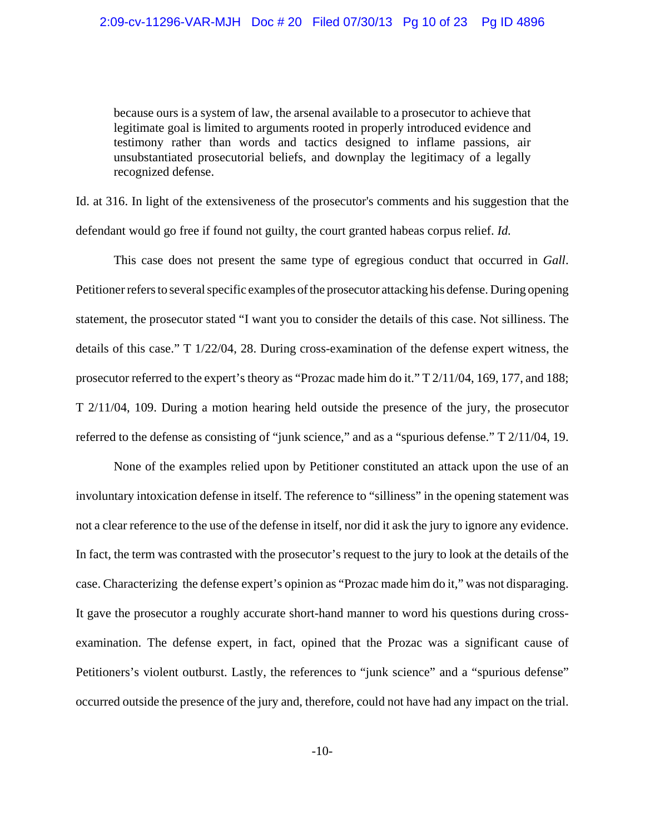because ours is a system of law, the arsenal available to a prosecutor to achieve that legitimate goal is limited to arguments rooted in properly introduced evidence and testimony rather than words and tactics designed to inflame passions, air unsubstantiated prosecutorial beliefs, and downplay the legitimacy of a legally recognized defense.

Id. at 316. In light of the extensiveness of the prosecutor's comments and his suggestion that the defendant would go free if found not guilty, the court granted habeas corpus relief. *Id.*

This case does not present the same type of egregious conduct that occurred in *Gall*. Petitioner refers to several specific examples of the prosecutor attacking his defense. During opening statement, the prosecutor stated "I want you to consider the details of this case. Not silliness. The details of this case." T 1/22/04, 28. During cross-examination of the defense expert witness, the prosecutor referred to the expert's theory as "Prozac made him do it." T 2/11/04, 169, 177, and 188; T 2/11/04, 109. During a motion hearing held outside the presence of the jury, the prosecutor referred to the defense as consisting of "junk science," and as a "spurious defense." T 2/11/04, 19.

None of the examples relied upon by Petitioner constituted an attack upon the use of an involuntary intoxication defense in itself. The reference to "silliness" in the opening statement was not a clear reference to the use of the defense in itself, nor did it ask the jury to ignore any evidence. In fact, the term was contrasted with the prosecutor's request to the jury to look at the details of the case. Characterizing the defense expert's opinion as "Prozac made him do it," was not disparaging. It gave the prosecutor a roughly accurate short-hand manner to word his questions during crossexamination. The defense expert, in fact, opined that the Prozac was a significant cause of Petitioners's violent outburst. Lastly, the references to "junk science" and a "spurious defense" occurred outside the presence of the jury and, therefore, could not have had any impact on the trial.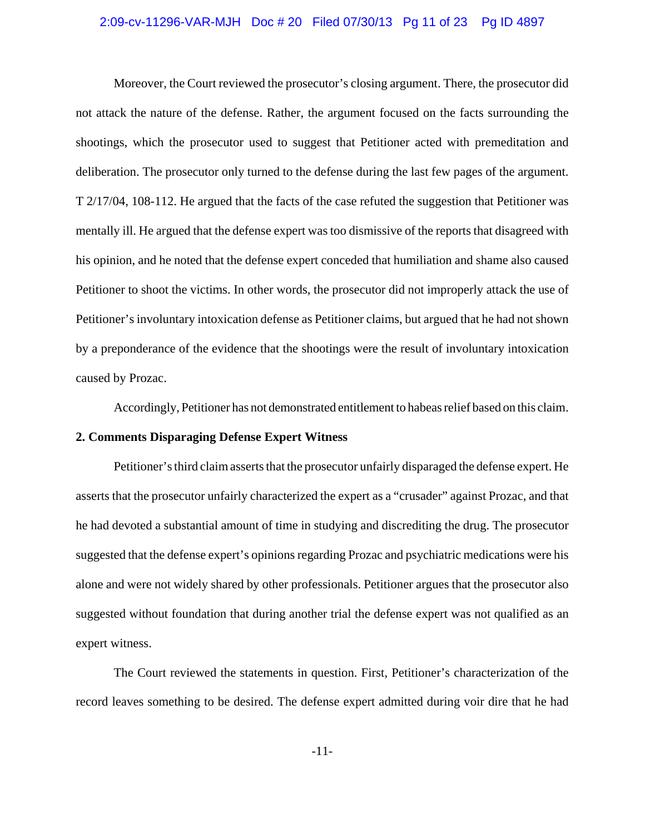#### 2:09-cv-11296-VAR-MJH Doc # 20 Filed 07/30/13 Pg 11 of 23 Pg ID 4897

Moreover, the Court reviewed the prosecutor's closing argument. There, the prosecutor did not attack the nature of the defense. Rather, the argument focused on the facts surrounding the shootings, which the prosecutor used to suggest that Petitioner acted with premeditation and deliberation. The prosecutor only turned to the defense during the last few pages of the argument. T 2/17/04, 108-112. He argued that the facts of the case refuted the suggestion that Petitioner was mentally ill. He argued that the defense expert was too dismissive of the reports that disagreed with his opinion, and he noted that the defense expert conceded that humiliation and shame also caused Petitioner to shoot the victims. In other words, the prosecutor did not improperly attack the use of Petitioner's involuntary intoxication defense as Petitioner claims, but argued that he had not shown by a preponderance of the evidence that the shootings were the result of involuntary intoxication caused by Prozac.

Accordingly, Petitioner has not demonstrated entitlement to habeas relief based on this claim.

### **2. Comments Disparaging Defense Expert Witness**

Petitioner's third claim asserts that the prosecutor unfairly disparaged the defense expert. He asserts that the prosecutor unfairly characterized the expert as a "crusader" against Prozac, and that he had devoted a substantial amount of time in studying and discrediting the drug. The prosecutor suggested that the defense expert's opinions regarding Prozac and psychiatric medications were his alone and were not widely shared by other professionals. Petitioner argues that the prosecutor also suggested without foundation that during another trial the defense expert was not qualified as an expert witness.

The Court reviewed the statements in question. First, Petitioner's characterization of the record leaves something to be desired. The defense expert admitted during voir dire that he had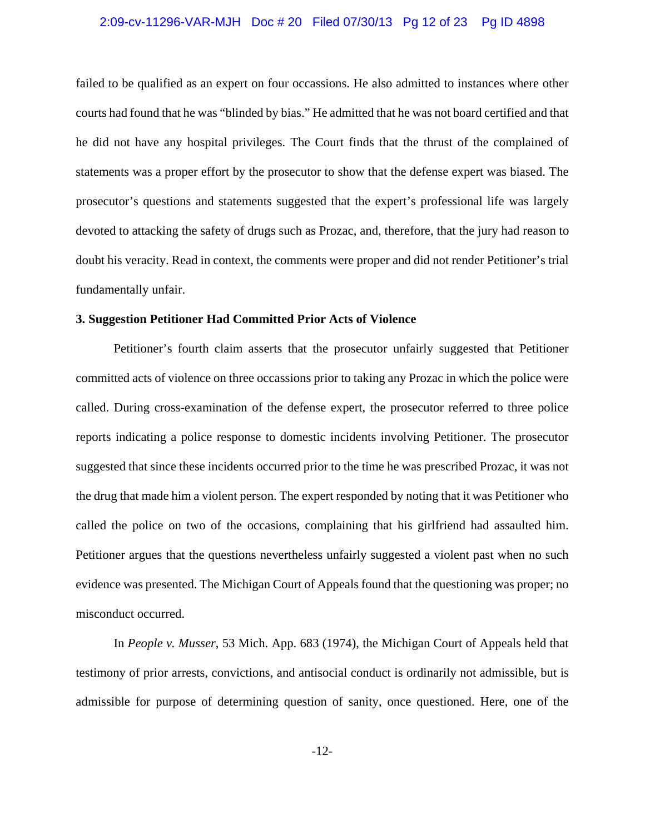#### 2:09-cv-11296-VAR-MJH Doc # 20 Filed 07/30/13 Pg 12 of 23 Pg ID 4898

failed to be qualified as an expert on four occassions. He also admitted to instances where other courts had found that he was "blinded by bias." He admitted that he was not board certified and that he did not have any hospital privileges. The Court finds that the thrust of the complained of statements was a proper effort by the prosecutor to show that the defense expert was biased. The prosecutor's questions and statements suggested that the expert's professional life was largely devoted to attacking the safety of drugs such as Prozac, and, therefore, that the jury had reason to doubt his veracity. Read in context, the comments were proper and did not render Petitioner's trial fundamentally unfair.

## **3. Suggestion Petitioner Had Committed Prior Acts of Violence**

Petitioner's fourth claim asserts that the prosecutor unfairly suggested that Petitioner committed acts of violence on three occassions prior to taking any Prozac in which the police were called. During cross-examination of the defense expert, the prosecutor referred to three police reports indicating a police response to domestic incidents involving Petitioner. The prosecutor suggested that since these incidents occurred prior to the time he was prescribed Prozac, it was not the drug that made him a violent person. The expert responded by noting that it was Petitioner who called the police on two of the occasions, complaining that his girlfriend had assaulted him. Petitioner argues that the questions nevertheless unfairly suggested a violent past when no such evidence was presented. The Michigan Court of Appeals found that the questioning was proper; no misconduct occurred.

In *People v. Musser*, 53 Mich. App. 683 (1974), the Michigan Court of Appeals held that testimony of prior arrests, convictions, and antisocial conduct is ordinarily not admissible, but is admissible for purpose of determining question of sanity, once questioned. Here, one of the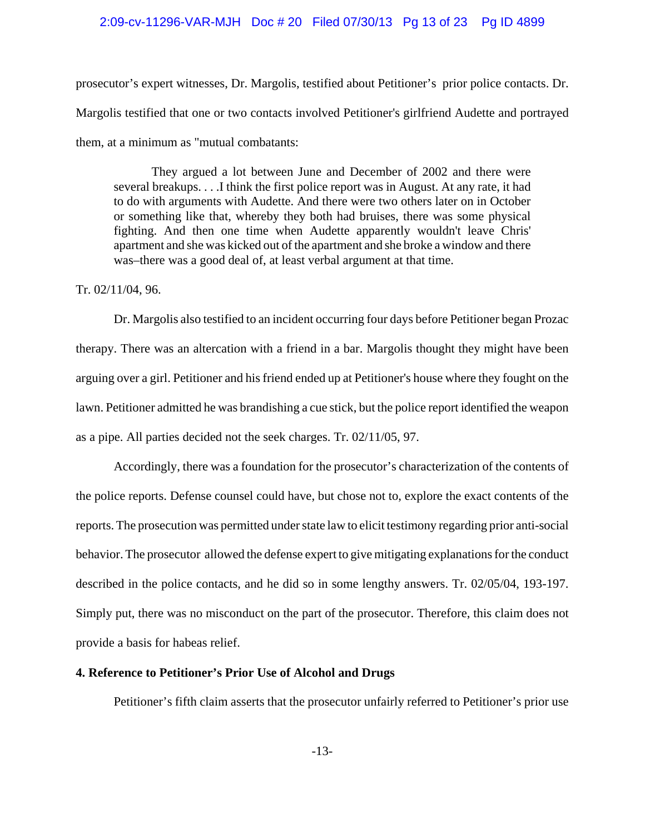#### 2:09-cv-11296-VAR-MJH Doc # 20 Filed 07/30/13 Pg 13 of 23 Pg ID 4899

prosecutor's expert witnesses, Dr. Margolis, testified about Petitioner's prior police contacts. Dr. Margolis testified that one or two contacts involved Petitioner's girlfriend Audette and portrayed them, at a minimum as "mutual combatants:

They argued a lot between June and December of 2002 and there were several breakups. . . .I think the first police report was in August. At any rate, it had to do with arguments with Audette. And there were two others later on in October or something like that, whereby they both had bruises, there was some physical fighting. And then one time when Audette apparently wouldn't leave Chris' apartment and she was kicked out of the apartment and she broke a window and there was–there was a good deal of, at least verbal argument at that time.

#### Tr. 02/11/04, 96.

Dr. Margolis also testified to an incident occurring four days before Petitioner began Prozac therapy. There was an altercation with a friend in a bar. Margolis thought they might have been arguing over a girl. Petitioner and his friend ended up at Petitioner's house where they fought on the lawn. Petitioner admitted he was brandishing a cue stick, but the police report identified the weapon as a pipe. All parties decided not the seek charges. Tr. 02/11/05, 97.

Accordingly, there was a foundation for the prosecutor's characterization of the contents of the police reports. Defense counsel could have, but chose not to, explore the exact contents of the reports. The prosecution was permitted under state law to elicit testimony regarding prior anti-social behavior. The prosecutor allowed the defense expert to give mitigating explanations for the conduct described in the police contacts, and he did so in some lengthy answers. Tr. 02/05/04, 193-197. Simply put, there was no misconduct on the part of the prosecutor. Therefore, this claim does not provide a basis for habeas relief.

#### **4. Reference to Petitioner's Prior Use of Alcohol and Drugs**

Petitioner's fifth claim asserts that the prosecutor unfairly referred to Petitioner's prior use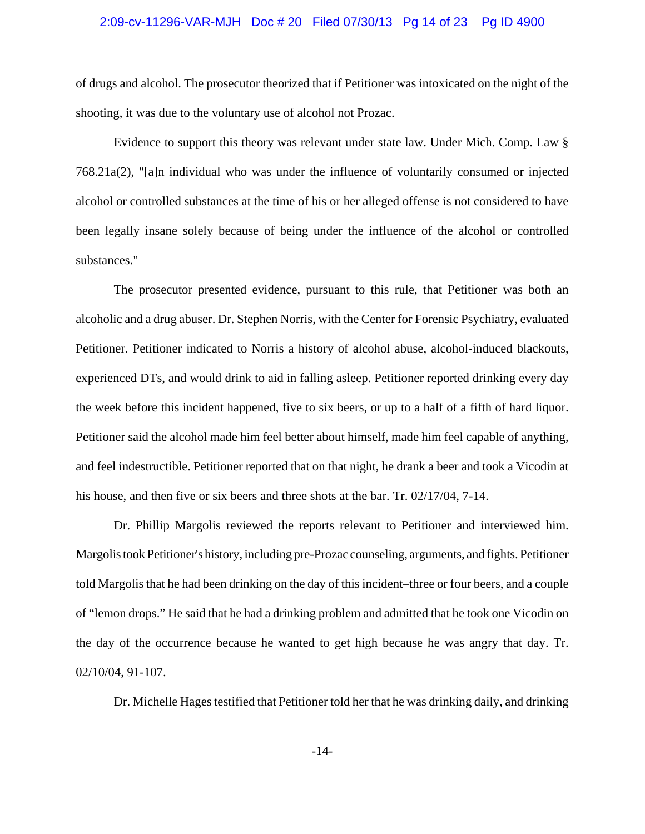#### 2:09-cv-11296-VAR-MJH Doc # 20 Filed 07/30/13 Pg 14 of 23 Pg ID 4900

of drugs and alcohol. The prosecutor theorized that if Petitioner was intoxicated on the night of the shooting, it was due to the voluntary use of alcohol not Prozac.

Evidence to support this theory was relevant under state law. Under Mich. Comp. Law § 768.21a(2), "[a]n individual who was under the influence of voluntarily consumed or injected alcohol or controlled substances at the time of his or her alleged offense is not considered to have been legally insane solely because of being under the influence of the alcohol or controlled substances."

The prosecutor presented evidence, pursuant to this rule, that Petitioner was both an alcoholic and a drug abuser. Dr. Stephen Norris, with the Center for Forensic Psychiatry, evaluated Petitioner. Petitioner indicated to Norris a history of alcohol abuse, alcohol-induced blackouts, experienced DTs, and would drink to aid in falling asleep. Petitioner reported drinking every day the week before this incident happened, five to six beers, or up to a half of a fifth of hard liquor. Petitioner said the alcohol made him feel better about himself, made him feel capable of anything, and feel indestructible. Petitioner reported that on that night, he drank a beer and took a Vicodin at his house, and then five or six beers and three shots at the bar. Tr. 02/17/04, 7-14.

Dr. Phillip Margolis reviewed the reports relevant to Petitioner and interviewed him. Margolis took Petitioner's history, including pre-Prozac counseling, arguments, and fights. Petitioner told Margolis that he had been drinking on the day of this incident–three or four beers, and a couple of "lemon drops." He said that he had a drinking problem and admitted that he took one Vicodin on the day of the occurrence because he wanted to get high because he was angry that day. Tr. 02/10/04, 91-107.

Dr. Michelle Hages testified that Petitioner told her that he was drinking daily, and drinking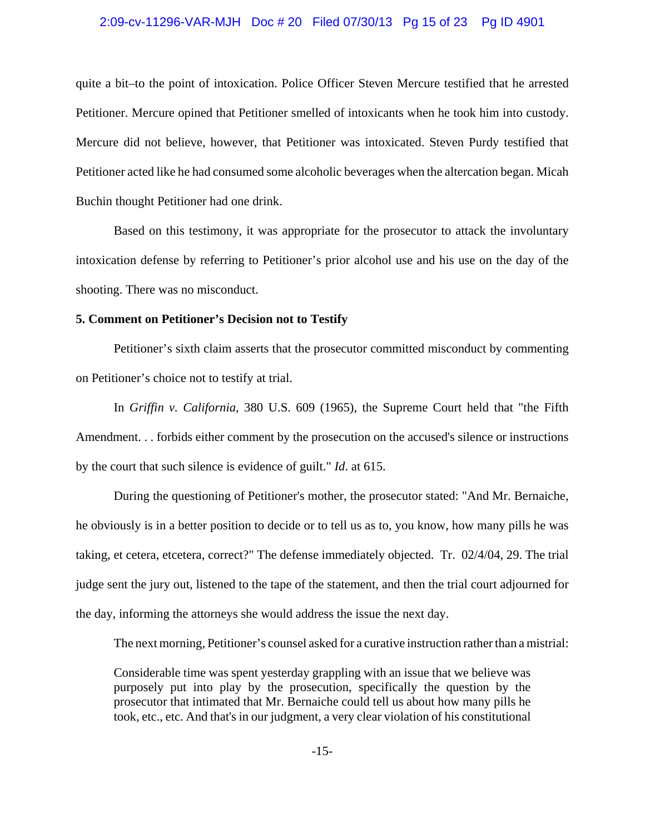#### 2:09-cv-11296-VAR-MJH Doc # 20 Filed 07/30/13 Pg 15 of 23 Pg ID 4901

quite a bit–to the point of intoxication. Police Officer Steven Mercure testified that he arrested Petitioner. Mercure opined that Petitioner smelled of intoxicants when he took him into custody. Mercure did not believe, however, that Petitioner was intoxicated. Steven Purdy testified that Petitioner acted like he had consumed some alcoholic beverages when the altercation began. Micah Buchin thought Petitioner had one drink.

Based on this testimony, it was appropriate for the prosecutor to attack the involuntary intoxication defense by referring to Petitioner's prior alcohol use and his use on the day of the shooting. There was no misconduct.

### **5. Comment on Petitioner's Decision not to Testify**

Petitioner's sixth claim asserts that the prosecutor committed misconduct by commenting on Petitioner's choice not to testify at trial.

In *Griffin v. California*, 380 U.S. 609 (1965), the Supreme Court held that "the Fifth Amendment. . . forbids either comment by the prosecution on the accused's silence or instructions by the court that such silence is evidence of guilt." *Id*. at 615.

During the questioning of Petitioner's mother, the prosecutor stated: "And Mr. Bernaiche, he obviously is in a better position to decide or to tell us as to, you know, how many pills he was taking, et cetera, etcetera, correct?" The defense immediately objected. Tr. 02/4/04, 29. The trial judge sent the jury out, listened to the tape of the statement, and then the trial court adjourned for the day, informing the attorneys she would address the issue the next day.

The next morning, Petitioner's counsel asked for a curative instruction rather than a mistrial:

Considerable time was spent yesterday grappling with an issue that we believe was purposely put into play by the prosecution, specifically the question by the prosecutor that intimated that Mr. Bernaiche could tell us about how many pills he took, etc., etc. And that's in our judgment, a very clear violation of his constitutional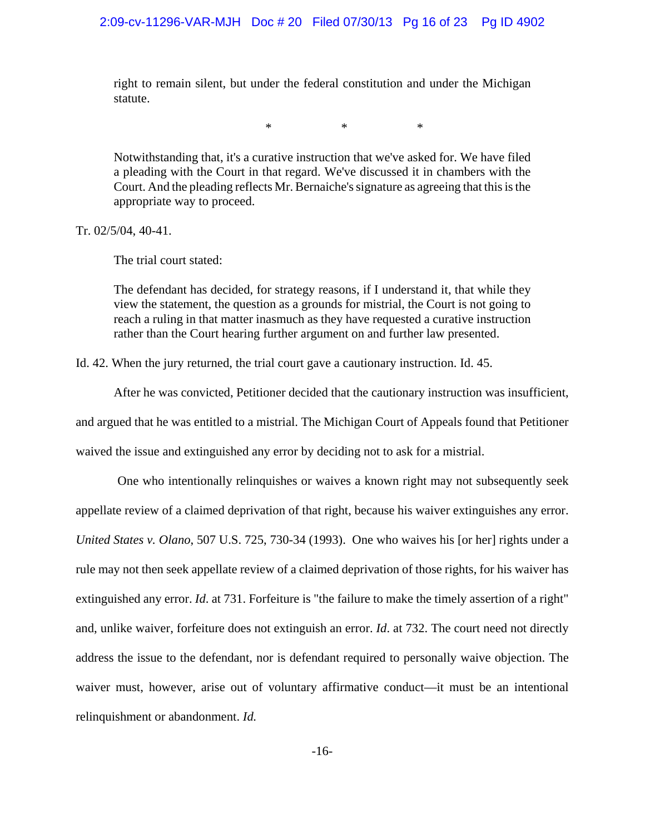right to remain silent, but under the federal constitution and under the Michigan statute.

 $*$  \* \* \*

Notwithstanding that, it's a curative instruction that we've asked for. We have filed a pleading with the Court in that regard. We've discussed it in chambers with the Court. And the pleading reflects Mr. Bernaiche's signature as agreeing that this is the appropriate way to proceed.

Tr. 02/5/04, 40-41.

The trial court stated:

The defendant has decided, for strategy reasons, if I understand it, that while they view the statement, the question as a grounds for mistrial, the Court is not going to reach a ruling in that matter inasmuch as they have requested a curative instruction rather than the Court hearing further argument on and further law presented.

Id. 42. When the jury returned, the trial court gave a cautionary instruction. Id. 45.

After he was convicted, Petitioner decided that the cautionary instruction was insufficient,

and argued that he was entitled to a mistrial. The Michigan Court of Appeals found that Petitioner

waived the issue and extinguished any error by deciding not to ask for a mistrial.

 One who intentionally relinquishes or waives a known right may not subsequently seek appellate review of a claimed deprivation of that right, because his waiver extinguishes any error. *United States v. Olano*, 507 U.S. 725, 730-34 (1993). One who waives his [or her] rights under a rule may not then seek appellate review of a claimed deprivation of those rights, for his waiver has extinguished any error. *Id*. at 731. Forfeiture is "the failure to make the timely assertion of a right" and, unlike waiver, forfeiture does not extinguish an error. *Id*. at 732. The court need not directly address the issue to the defendant, nor is defendant required to personally waive objection. The waiver must, however, arise out of voluntary affirmative conduct—it must be an intentional relinquishment or abandonment. *Id.*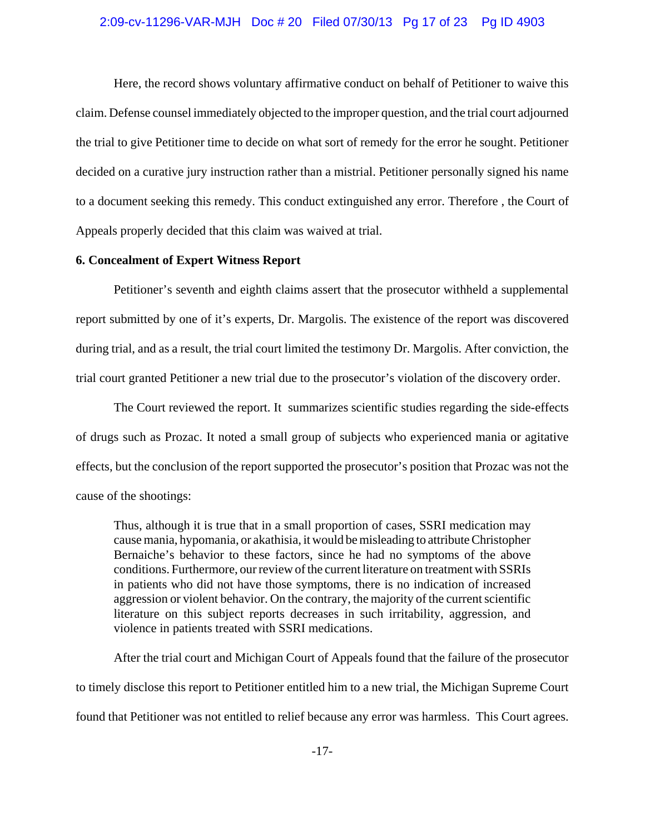#### 2:09-cv-11296-VAR-MJH Doc # 20 Filed 07/30/13 Pg 17 of 23 Pg ID 4903

Here, the record shows voluntary affirmative conduct on behalf of Petitioner to waive this claim. Defense counsel immediately objected to the improper question, and the trial court adjourned the trial to give Petitioner time to decide on what sort of remedy for the error he sought. Petitioner decided on a curative jury instruction rather than a mistrial. Petitioner personally signed his name to a document seeking this remedy. This conduct extinguished any error. Therefore , the Court of Appeals properly decided that this claim was waived at trial.

## **6. Concealment of Expert Witness Report**

Petitioner's seventh and eighth claims assert that the prosecutor withheld a supplemental report submitted by one of it's experts, Dr. Margolis. The existence of the report was discovered during trial, and as a result, the trial court limited the testimony Dr. Margolis. After conviction, the trial court granted Petitioner a new trial due to the prosecutor's violation of the discovery order.

The Court reviewed the report. It summarizes scientific studies regarding the side-effects of drugs such as Prozac. It noted a small group of subjects who experienced mania or agitative effects, but the conclusion of the report supported the prosecutor's position that Prozac was not the cause of the shootings:

Thus, although it is true that in a small proportion of cases, SSRI medication may cause mania, hypomania, or akathisia, it would be misleading to attribute Christopher Bernaiche's behavior to these factors, since he had no symptoms of the above conditions. Furthermore, our review of the current literature on treatment with SSRIs in patients who did not have those symptoms, there is no indication of increased aggression or violent behavior. On the contrary, the majority of the current scientific literature on this subject reports decreases in such irritability, aggression, and violence in patients treated with SSRI medications.

After the trial court and Michigan Court of Appeals found that the failure of the prosecutor to timely disclose this report to Petitioner entitled him to a new trial, the Michigan Supreme Court found that Petitioner was not entitled to relief because any error was harmless. This Court agrees.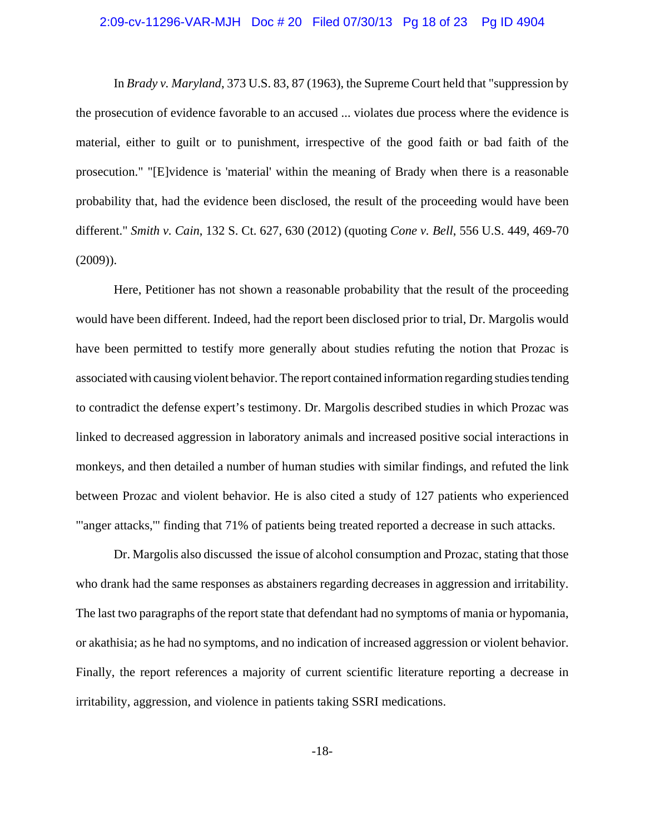#### 2:09-cv-11296-VAR-MJH Doc # 20 Filed 07/30/13 Pg 18 of 23 Pg ID 4904

In *Brady v. Maryland*, 373 U.S. 83, 87 (1963), the Supreme Court held that "suppression by the prosecution of evidence favorable to an accused ... violates due process where the evidence is material, either to guilt or to punishment, irrespective of the good faith or bad faith of the prosecution." "[E]vidence is 'material' within the meaning of Brady when there is a reasonable probability that, had the evidence been disclosed, the result of the proceeding would have been different." *Smith v. Cain*, 132 S. Ct. 627, 630 (2012) (quoting *Cone v. Bell*, 556 U.S. 449, 469-70 (2009)).

Here, Petitioner has not shown a reasonable probability that the result of the proceeding would have been different. Indeed, had the report been disclosed prior to trial, Dr. Margolis would have been permitted to testify more generally about studies refuting the notion that Prozac is associated with causing violent behavior. The report contained information regarding studies tending to contradict the defense expert's testimony. Dr. Margolis described studies in which Prozac was linked to decreased aggression in laboratory animals and increased positive social interactions in monkeys, and then detailed a number of human studies with similar findings, and refuted the link between Prozac and violent behavior. He is also cited a study of 127 patients who experienced "'anger attacks,'" finding that 71% of patients being treated reported a decrease in such attacks.

Dr. Margolis also discussed the issue of alcohol consumption and Prozac, stating that those who drank had the same responses as abstainers regarding decreases in aggression and irritability. The last two paragraphs of the report state that defendant had no symptoms of mania or hypomania, or akathisia; as he had no symptoms, and no indication of increased aggression or violent behavior. Finally, the report references a majority of current scientific literature reporting a decrease in irritability, aggression, and violence in patients taking SSRI medications.

-18-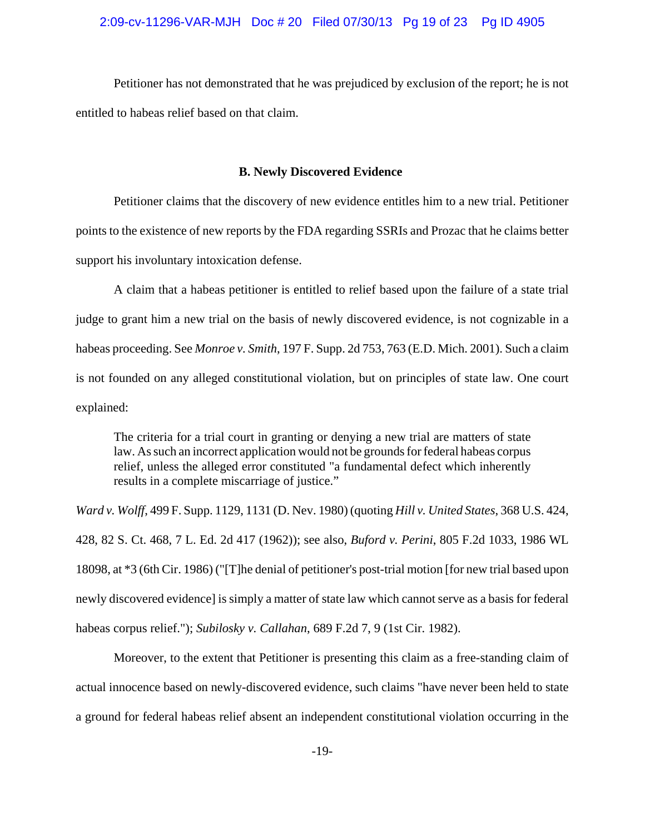### 2:09-cv-11296-VAR-MJH Doc # 20 Filed 07/30/13 Pg 19 of 23 Pg ID 4905

Petitioner has not demonstrated that he was prejudiced by exclusion of the report; he is not entitled to habeas relief based on that claim.

#### **B. Newly Discovered Evidence**

Petitioner claims that the discovery of new evidence entitles him to a new trial. Petitioner points to the existence of new reports by the FDA regarding SSRIs and Prozac that he claims better support his involuntary intoxication defense.

A claim that a habeas petitioner is entitled to relief based upon the failure of a state trial judge to grant him a new trial on the basis of newly discovered evidence, is not cognizable in a habeas proceeding. See *Monroe v. Smith*, 197 F. Supp. 2d 753, 763 (E.D. Mich. 2001). Such a claim is not founded on any alleged constitutional violation, but on principles of state law. One court explained:

The criteria for a trial court in granting or denying a new trial are matters of state law. As such an incorrect application would not be grounds for federal habeas corpus relief, unless the alleged error constituted "a fundamental defect which inherently results in a complete miscarriage of justice."

*Ward v. Wolff*, 499 F. Supp. 1129, 1131 (D. Nev. 1980) (quoting *Hill v. United States*, 368 U.S. 424, 428, 82 S. Ct. 468, 7 L. Ed. 2d 417 (1962)); see also, *Buford v. Perini*, 805 F.2d 1033, 1986 WL 18098, at \*3 (6th Cir. 1986) ("[T]he denial of petitioner's post-trial motion [for new trial based upon newly discovered evidence] is simply a matter of state law which cannot serve as a basis for federal habeas corpus relief."); *Subilosky v. Callahan*, 689 F.2d 7, 9 (1st Cir. 1982).

Moreover, to the extent that Petitioner is presenting this claim as a free-standing claim of actual innocence based on newly-discovered evidence, such claims "have never been held to state a ground for federal habeas relief absent an independent constitutional violation occurring in the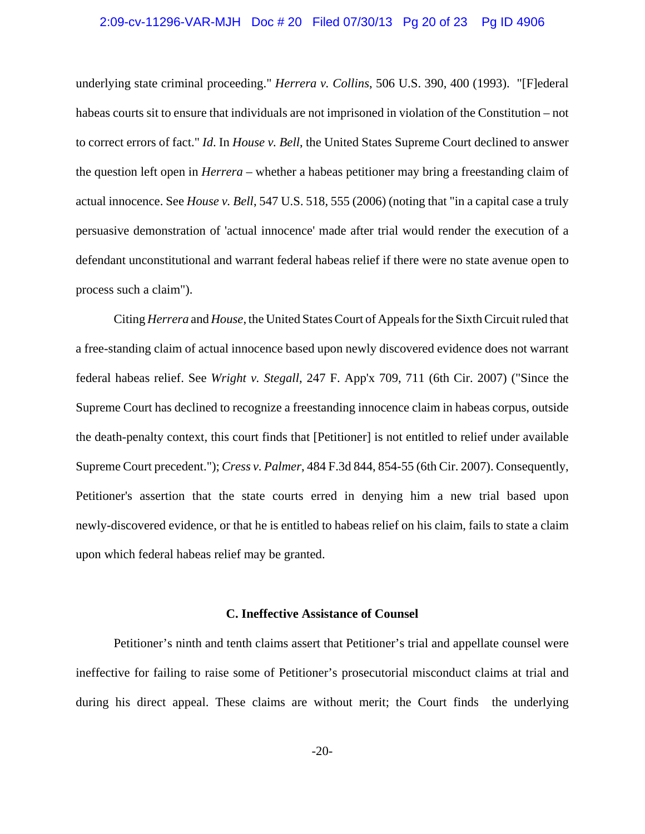#### 2:09-cv-11296-VAR-MJH Doc # 20 Filed 07/30/13 Pg 20 of 23 Pg ID 4906

underlying state criminal proceeding." *Herrera v. Collins*, 506 U.S. 390, 400 (1993). "[F]ederal habeas courts sit to ensure that individuals are not imprisoned in violation of the Constitution – not to correct errors of fact." *Id*. In *House v. Bell*, the United States Supreme Court declined to answer the question left open in *Herrera* – whether a habeas petitioner may bring a freestanding claim of actual innocence. See *House v. Bell*, 547 U.S. 518, 555 (2006) (noting that "in a capital case a truly persuasive demonstration of 'actual innocence' made after trial would render the execution of a defendant unconstitutional and warrant federal habeas relief if there were no state avenue open to process such a claim").

Citing *Herrera* and *House*, the United States Court of Appeals for the Sixth Circuit ruled that a free-standing claim of actual innocence based upon newly discovered evidence does not warrant federal habeas relief. See *Wright v. Stegall*, 247 F. App'x 709, 711 (6th Cir. 2007) ("Since the Supreme Court has declined to recognize a freestanding innocence claim in habeas corpus, outside the death-penalty context, this court finds that [Petitioner] is not entitled to relief under available Supreme Court precedent."); *Cress v. Palmer*, 484 F.3d 844, 854-55 (6th Cir. 2007). Consequently, Petitioner's assertion that the state courts erred in denying him a new trial based upon newly-discovered evidence, or that he is entitled to habeas relief on his claim, fails to state a claim upon which federal habeas relief may be granted.

### **C. Ineffective Assistance of Counsel**

Petitioner's ninth and tenth claims assert that Petitioner's trial and appellate counsel were ineffective for failing to raise some of Petitioner's prosecutorial misconduct claims at trial and during his direct appeal. These claims are without merit; the Court finds the underlying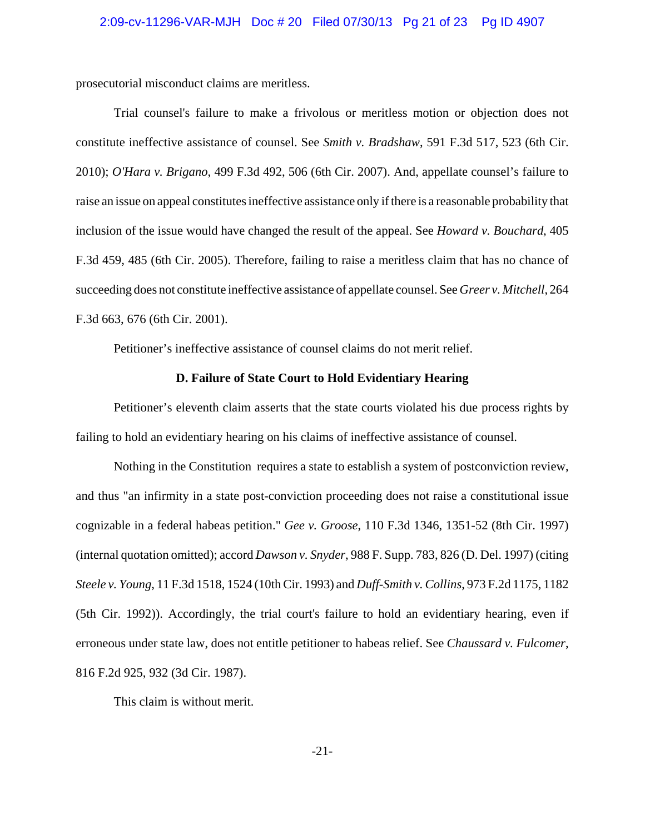prosecutorial misconduct claims are meritless.

Trial counsel's failure to make a frivolous or meritless motion or objection does not constitute ineffective assistance of counsel. See *Smith v. Bradshaw*, 591 F.3d 517, 523 (6th Cir. 2010); *O'Hara v. Brigano*, 499 F.3d 492, 506 (6th Cir. 2007). And, appellate counsel's failure to raise an issue on appeal constitutes ineffective assistance only if there is a reasonable probability that inclusion of the issue would have changed the result of the appeal. See *Howard v. Bouchard*, 405 F.3d 459, 485 (6th Cir. 2005). Therefore, failing to raise a meritless claim that has no chance of succeeding does not constitute ineffective assistance of appellate counsel. See *Greer v. Mitchell*, 264 F.3d 663, 676 (6th Cir. 2001).

Petitioner's ineffective assistance of counsel claims do not merit relief.

### **D. Failure of State Court to Hold Evidentiary Hearing**

Petitioner's eleventh claim asserts that the state courts violated his due process rights by failing to hold an evidentiary hearing on his claims of ineffective assistance of counsel.

Nothing in the Constitution requires a state to establish a system of postconviction review, and thus "an infirmity in a state post-conviction proceeding does not raise a constitutional issue cognizable in a federal habeas petition." *Gee v. Groose*, 110 F.3d 1346, 1351-52 (8th Cir. 1997) (internal quotation omitted); accord *Dawson v. Snyder*, 988 F. Supp. 783, 826 (D. Del. 1997) (citing *Steele v. Young*, 11 F.3d 1518, 1524 (10th Cir. 1993) and *Duff-Smith v. Collins*, 973 F.2d 1175, 1182 (5th Cir. 1992)). Accordingly, the trial court's failure to hold an evidentiary hearing, even if erroneous under state law, does not entitle petitioner to habeas relief. See *Chaussard v. Fulcomer*, 816 F.2d 925, 932 (3d Cir. 1987).

This claim is without merit.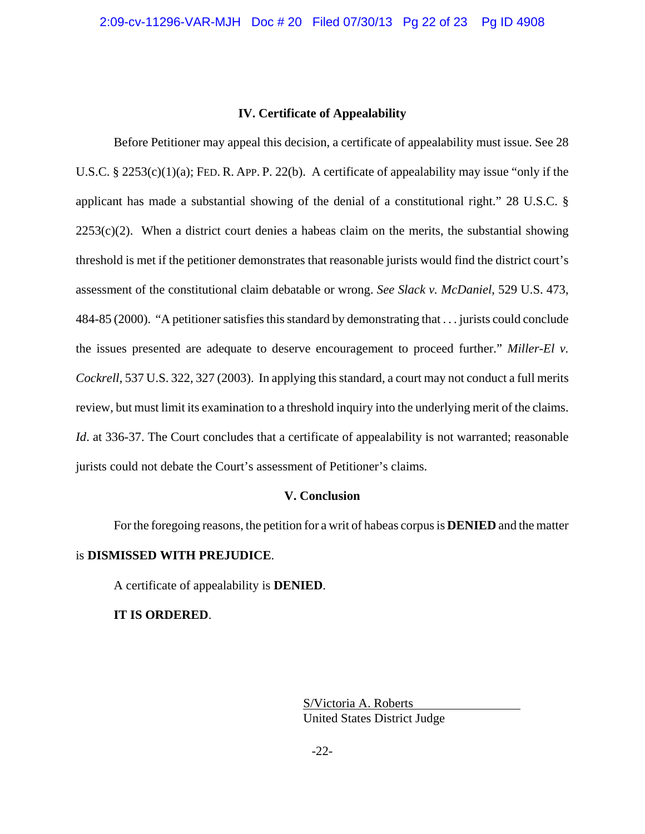## **IV. Certificate of Appealability**

Before Petitioner may appeal this decision, a certificate of appealability must issue. See 28 U.S.C. § 2253(c)(1)(a); FED. R. APP. P. 22(b). A certificate of appealability may issue "only if the applicant has made a substantial showing of the denial of a constitutional right." 28 U.S.C. §  $2253(c)(2)$ . When a district court denies a habeas claim on the merits, the substantial showing threshold is met if the petitioner demonstrates that reasonable jurists would find the district court's assessment of the constitutional claim debatable or wrong. *See Slack v. McDaniel*, 529 U.S. 473, 484-85 (2000). "A petitioner satisfies this standard by demonstrating that . . . jurists could conclude the issues presented are adequate to deserve encouragement to proceed further." *Miller-El v. Cockrell*, 537 U.S. 322, 327 (2003). In applying this standard, a court may not conduct a full merits review, but must limit its examination to a threshold inquiry into the underlying merit of the claims. *Id.* at 336-37. The Court concludes that a certificate of appealability is not warranted; reasonable jurists could not debate the Court's assessment of Petitioner's claims.

### **V. Conclusion**

For the foregoing reasons, the petition for a writ of habeas corpus is **DENIED** and the matter is **DISMISSED WITH PREJUDICE**.

A certificate of appealability is **DENIED**.

## **IT IS ORDERED**.

S/Victoria A. Roberts United States District Judge